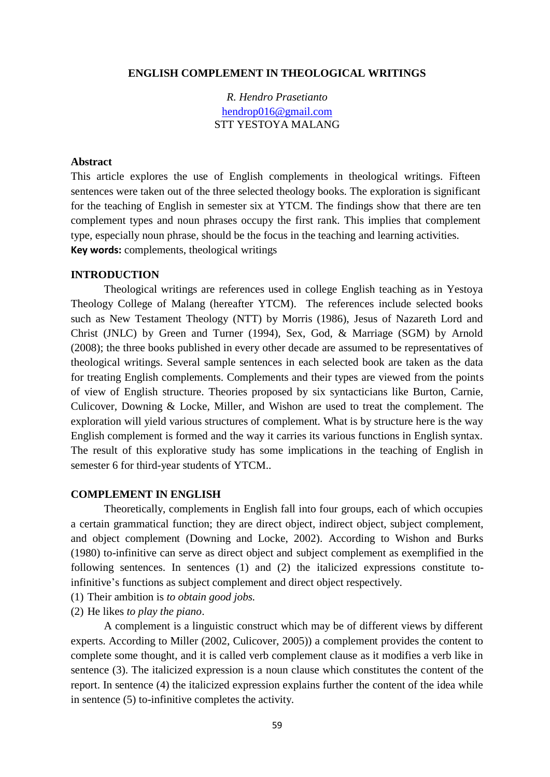## **ENGLISH COMPLEMENT IN THEOLOGICAL WRITINGS**

*R. Hendro Prasetianto* [hendrop016@gmail.com](mailto:hendrop016@gmail.com) STT YESTOYA MALANG

#### **Abstract**

This article explores the use of English complements in theological writings. Fifteen sentences were taken out of the three selected theology books. The exploration is significant for the teaching of English in semester six at YTCM. The findings show that there are ten complement types and noun phrases occupy the first rank. This implies that complement type, especially noun phrase, should be the focus in the teaching and learning activities. **Key words:** complements, theological writings

## **INTRODUCTION**

Theological writings are references used in college English teaching as in Yestoya Theology College of Malang (hereafter YTCM). The references include selected books such as New Testament Theology (NTT) by Morris (1986), Jesus of Nazareth Lord and Christ (JNLC) by Green and Turner (1994), Sex, God, & Marriage (SGM) by Arnold (2008); the three books published in every other decade are assumed to be representatives of theological writings. Several sample sentences in each selected book are taken as the data for treating English complements. Complements and their types are viewed from the points of view of English structure. Theories proposed by six syntacticians like Burton, Carnie, Culicover, Downing & Locke, Miller, and Wishon are used to treat the complement. The exploration will yield various structures of complement. What is by structure here is the way English complement is formed and the way it carries its various functions in English syntax. The result of this explorative study has some implications in the teaching of English in semester 6 for third-year students of YTCM..

### **COMPLEMENT IN ENGLISH**

Theoretically, complements in English fall into four groups, each of which occupies a certain grammatical function; they are direct object, indirect object, subject complement, and object complement (Downing and Locke, 2002). According to Wishon and Burks (1980) to-infinitive can serve as direct object and subject complement as exemplified in the following sentences. In sentences (1) and (2) the italicized expressions constitute toinfinitive's functions as subject complement and direct object respectively.

- (1) Their ambition is *to obtain good jobs.*
- (2) He likes *to play the piano*.

A complement is a linguistic construct which may be of different views by different experts. According to Miller (2002, Culicover, 2005)) a complement provides the content to complete some thought, and it is called verb complement clause as it modifies a verb like in sentence (3). The italicized expression is a noun clause which constitutes the content of the report. In sentence (4) the italicized expression explains further the content of the idea while in sentence (5) to-infinitive completes the activity.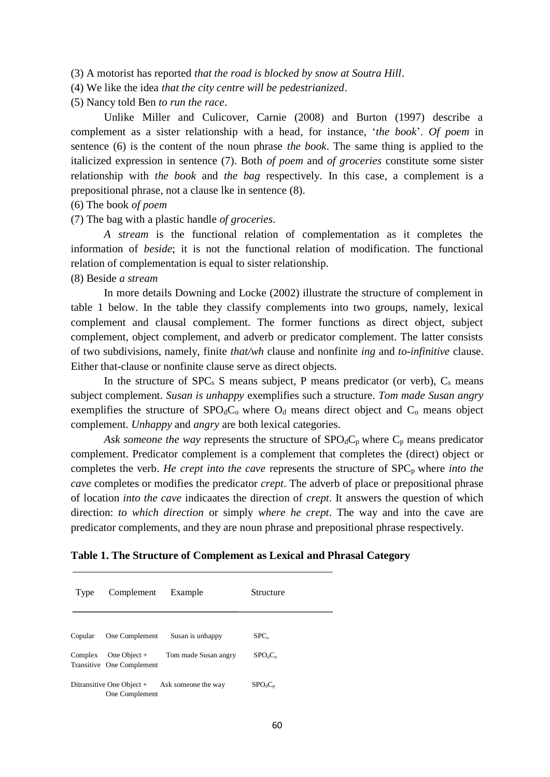- (3) A motorist has reported *that the road is blocked by snow at Soutra Hill*.
- (4) We like the idea *that the city centre will be pedestrianized*.
- (5) Nancy told Ben *to run the race*.

Unlike Miller and Culicover, Carnie (2008) and Burton (1997) describe a complement as a sister relationship with a head, for instance, '*the book*'. *Of poem* in sentence (6) is the content of the noun phrase *the book*. The same thing is applied to the italicized expression in sentence (7). Both *of poem* and *of groceries* constitute some sister relationship with *the book* and *the bag* respectively. In this case, a complement is a prepositional phrase, not a clause lke in sentence (8).

- (6) The book *of poem*
- (7) The bag with a plastic handle *of groceries*.

*A stream* is the functional relation of complementation as it completes the information of *beside*; it is not the functional relation of modification. The functional relation of complementation is equal to sister relationship.

# (8) Beside *a stream*

In more details Downing and Locke (2002) illustrate the structure of complement in table 1 below. In the table they classify complements into two groups, namely, lexical complement and clausal complement. The former functions as direct object, subject complement, object complement, and adverb or predicator complement. The latter consists of two subdivisions, namely, finite *that/wh* clause and nonfinite *ing* and *to-infinitive* clause. Either that-clause or nonfinite clause serve as direct objects.

In the structure of  $SPC<sub>s</sub>$  S means subject, P means predicator (or verb),  $C<sub>s</sub>$  means subject complement. *Susan is unhappy* exemplifies such a structure. *Tom made Susan angry* exemplifies the structure of  $SPO_dC_o$  where  $O_d$  means direct object and  $C_o$  means object complement. *Unhappy* and *angry* are both lexical categories.

Ask someone the way represents the structure of  $SPO_dC_p$  where  $C_p$  means predicator complement. Predicator complement is a complement that completes the (direct) object or completes the verb. *He crept into the cave* represents the structure of SPC<sub>p</sub> where *into the cave* completes or modifies the predicator *crept*. The adverb of place or prepositional phrase of location *into the cave* indicaates the direction of *crept*. It answers the question of which direction: *to which direction* or simply *where he crept*. The way and into the cave are predicator complements, and they are noun phrase and prepositional phrase respectively.

# **Table 1. The Structure of Complement as Lexical and Phrasal Category**

| Type    | Complement                                  | Example                                         | Structure                       |
|---------|---------------------------------------------|-------------------------------------------------|---------------------------------|
|         |                                             |                                                 |                                 |
| Copular | One Complement                              | Susan is unhappy                                | SPC <sub>s</sub>                |
| Complex | One Object $+$<br>Transitive One Complement | Tom made Susan angry                            | SPO <sub>d</sub> C <sub>o</sub> |
|         | One Complement                              | Ditransitive One Object $+$ Ask someone the way | $SPO_dC_n$                      |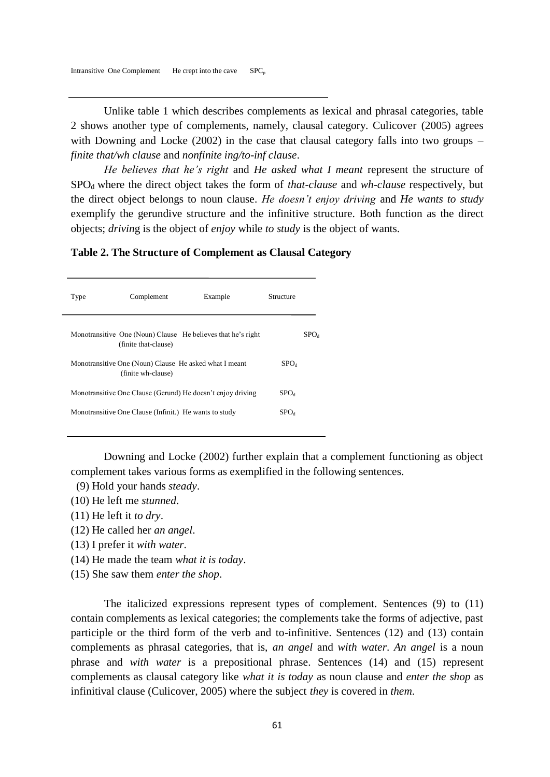Unlike table 1 which describes complements as lexical and phrasal categories, table 2 shows another type of complements, namely, clausal category. Culicover (2005) agrees with Downing and Locke (2002) in the case that clausal category falls into two groups – *finite that/wh clause* and *nonfinite ing/to-inf clause*.

*He believes that he's right* and *He asked what I meant* represent the structure of SPOd where the direct object takes the form of *that-clause* and *wh-clause* respectively, but the direct object belongs to noun clause. *He doesn't enjoy driving* and *He wants to study* exemplify the gerundive structure and the infinitive structure. Both function as the direct objects; *drivin*g is the object of *enjoy* while *to study* is the object of wants.

## **Table 2. The Structure of Complement as Clausal Category**

| Type | Complement                                                                   | Example                                                      | Structure        |                  |
|------|------------------------------------------------------------------------------|--------------------------------------------------------------|------------------|------------------|
|      | (finite that-clause)                                                         | Monotransitive One (Noun) Clause He believes that he's right |                  | SPO <sub>d</sub> |
|      | Monotransitive One (Noun) Clause He asked what I meant<br>(finite wh-clause) |                                                              | SPO <sub>d</sub> |                  |
|      |                                                                              | Monotransitive One Clause (Gerund) He doesn't enjoy driving  | $\rm SPO_{d}$    |                  |
|      | Monotransitive One Clause (Infinit.) He wants to study                       |                                                              | SPO.             |                  |
|      |                                                                              |                                                              |                  |                  |

Downing and Locke (2002) further explain that a complement functioning as object complement takes various forms as exemplified in the following sentences.

- (9) Hold your hands *steady*.
- (10) He left me *stunned*.
- (11) He left it *to dry*.
- (12) He called her *an angel*.
- (13) I prefer it *with water*.
- (14) He made the team *what it is today*.
- (15) She saw them *enter the shop*.

The italicized expressions represent types of complement. Sentences (9) to (11) contain complements as lexical categories; the complements take the forms of adjective, past participle or the third form of the verb and to-infinitive. Sentences (12) and (13) contain complements as phrasal categories, that is, *an angel* and *with water*. *An angel* is a noun phrase and *with water* is a prepositional phrase. Sentences (14) and (15) represent complements as clausal category like *what it is today* as noun clause and *enter the shop* as infinitival clause (Culicover, 2005) where the subject *they* is covered in *them*.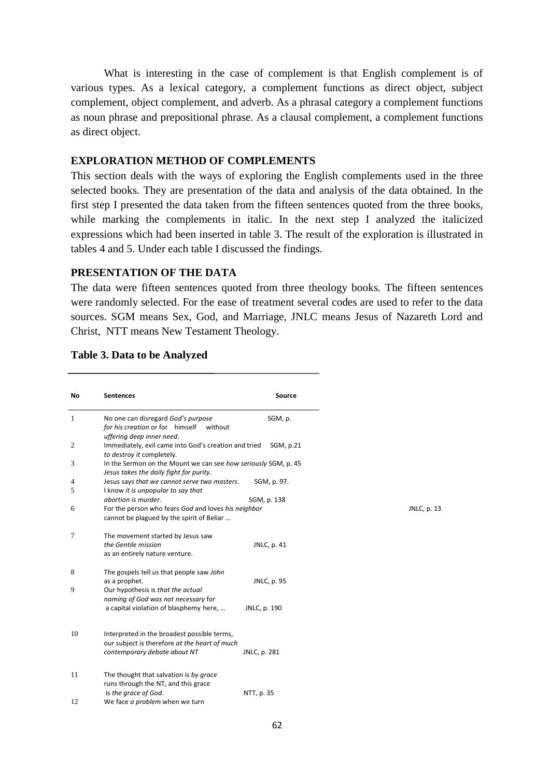What is interesting in the case of complement is that English complement is of various types. As a lexical category, a complement functions as direct object, subject complement, object complement, and adverb. As a phrasal category a complement functions as noun phrase and prepositional phrase. As a clausal complement, a complement functions as direct object.

# **EXPLORATION METHOD OF COMPLEMENTS**

This section deals with the ways of exploring the English complements used in the three selected books. They are presentation of the data and analysis of the data obtained. In the first step I presented the data taken from the fifteen sentences quoted from the three books, while marking the complements in italic. In the next step I analyzed the italicized expressions which had been inserted in table 3. The result of the exploration is illustrated in tables 4 and 5. Under each table I discussed the findings.

# **PRESENTATION OF THE DATA**

The data were fifteen sentences quoted from three theology books. The fifteen sentences were randomly selected. For the ease of treatment several codes are used to refer to the data sources. SGM means Sex, God, and Marriage, JNLC means Jesus of Nazareth Lord and Christ, NTT means New Testament Theology.

| <b>Sentences</b>                                               | Source                                                                                                                                                                                                                                                                                                                                                                                                                                      |
|----------------------------------------------------------------|---------------------------------------------------------------------------------------------------------------------------------------------------------------------------------------------------------------------------------------------------------------------------------------------------------------------------------------------------------------------------------------------------------------------------------------------|
| No one can disregard God's purpose                             | SGM, p.                                                                                                                                                                                                                                                                                                                                                                                                                                     |
| without<br>uffering deep inner need.                           |                                                                                                                                                                                                                                                                                                                                                                                                                                             |
| Immediately, evil came into God's creation and tried           | SGM, p.21                                                                                                                                                                                                                                                                                                                                                                                                                                   |
| In the Sermon on the Mount we can see how seriously SGM, p. 45 |                                                                                                                                                                                                                                                                                                                                                                                                                                             |
| Jesus says that we cannot serve two masters.                   | SGM, p. 97.                                                                                                                                                                                                                                                                                                                                                                                                                                 |
| abortion is murder.                                            | SGM, p. 138                                                                                                                                                                                                                                                                                                                                                                                                                                 |
| cannot be plagued by the spirit of Beliar                      |                                                                                                                                                                                                                                                                                                                                                                                                                                             |
| The movement started by Jesus saw                              |                                                                                                                                                                                                                                                                                                                                                                                                                                             |
| as an entirely nature venture.                                 | JNLC, p. 41                                                                                                                                                                                                                                                                                                                                                                                                                                 |
| The gospels tell us that people saw John                       |                                                                                                                                                                                                                                                                                                                                                                                                                                             |
| Our hypothesis is that the actual                              | JNLC, p. 95                                                                                                                                                                                                                                                                                                                                                                                                                                 |
| a capital violation of blasphemy here,                         | JNLC, p. 190                                                                                                                                                                                                                                                                                                                                                                                                                                |
|                                                                |                                                                                                                                                                                                                                                                                                                                                                                                                                             |
| our subject is therefore at the heart of much                  |                                                                                                                                                                                                                                                                                                                                                                                                                                             |
|                                                                | JNLC, p. 281                                                                                                                                                                                                                                                                                                                                                                                                                                |
| The thought that salvation is by grace                         |                                                                                                                                                                                                                                                                                                                                                                                                                                             |
| is the grace of God.                                           | NTT, p. 35                                                                                                                                                                                                                                                                                                                                                                                                                                  |
|                                                                | for his creation or for himself<br>to destroy it completely.<br>Jesus takes the daily fight for purity.<br>I know it is unpopular to say that<br>For the person who fears God and loves his neighbor<br>the Gentile mission<br>as a prophet.<br>naming of God was not necessary for<br>Interpreted in the broadest possible terms,<br>contemporary debate about NT<br>runs through the NT, and this grace<br>We face a problem when we turn |

## **Table 3. Data to be Analyzed**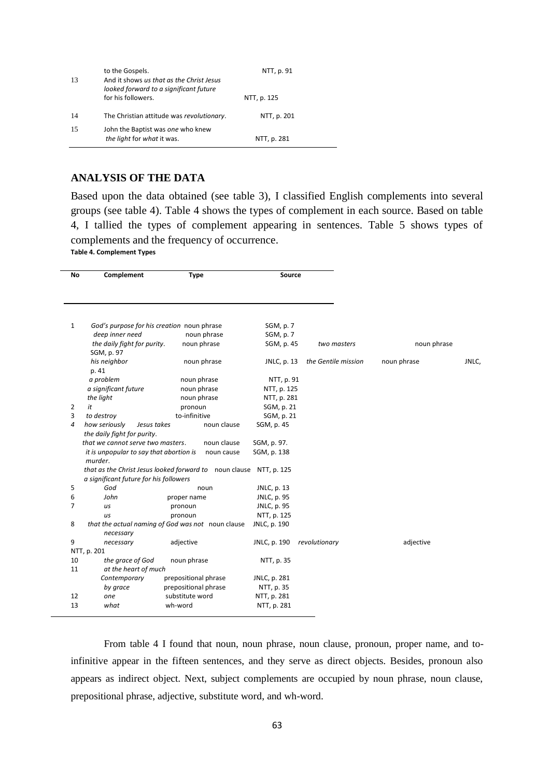| 13 | to the Gospels.<br>And it shows us that as the Christ Jesus<br>looked forward to a significant future | NTT, p. 91  |
|----|-------------------------------------------------------------------------------------------------------|-------------|
|    | for his followers.                                                                                    | NTT, p. 125 |
| 14 | The Christian attitude was revolutionary.                                                             | NTT, p. 201 |
| 15 | John the Baptist was one who knew<br>the light for what it was.                                       | NTT, p. 281 |

# **ANALYSIS OF THE DATA**

Based upon the data obtained (see table 3), I classified English complements into several groups (see table 4). Table 4 shows the types of complement in each source. Based on table 4, I tallied the types of complement appearing in sentences. Table 5 shows types of complements and the frequency of occurrence.

**Table 4. Complement Types**

| No             | Complement                                                                              | <b>Type</b>                                                        | Source                     |                     |             |       |
|----------------|-----------------------------------------------------------------------------------------|--------------------------------------------------------------------|----------------------------|---------------------|-------------|-------|
| $\mathbf{1}$   | God's purpose for his creation noun phrase                                              |                                                                    | SGM, p. 7                  |                     |             |       |
|                | deep inner need                                                                         | noun phrase                                                        | SGM, p. 7                  |                     |             |       |
|                | the daily fight for purity.<br>SGM, p. 97                                               | noun phrase                                                        | SGM, p. 45                 | two masters         | noun phrase |       |
|                | his neighbor<br>p. 41                                                                   | noun phrase                                                        | JNLC, p. 13                | the Gentile mission | noun phrase | JNLC, |
|                | a problem                                                                               | noun phrase                                                        | NTT, p. 91                 |                     |             |       |
|                | a significant future                                                                    | noun phrase                                                        | NTT, p. 125                |                     |             |       |
|                | the light                                                                               | noun phrase                                                        | NTT, p. 281                |                     |             |       |
| 2              | it                                                                                      | pronoun                                                            | SGM, p. 21                 |                     |             |       |
| 3              | to destroy                                                                              | to-infinitive                                                      | SGM, p. 21                 |                     |             |       |
| 4              | how seriously<br>Jesus takes                                                            | noun clause                                                        | SGM, p. 45                 |                     |             |       |
|                | the daily fight for purity.                                                             |                                                                    |                            |                     |             |       |
|                | that we cannot serve two masters.<br>it is unpopular to say that abortion is<br>murder. | noun clause<br>noun cause                                          | SGM, p. 97.<br>SGM, p. 138 |                     |             |       |
|                | a significant future for his followers                                                  | that as the Christ Jesus looked forward to noun clause NTT, p. 125 |                            |                     |             |       |
| 5              | God                                                                                     | noun                                                               | JNLC, p. 13                |                     |             |       |
| 6              | John                                                                                    | proper name                                                        | JNLC, p. 95                |                     |             |       |
| $\overline{7}$ | us                                                                                      | pronoun                                                            | JNLC, p. 95                |                     |             |       |
|                | us                                                                                      | pronoun                                                            | NTT, p. 125                |                     |             |       |
| 8              |                                                                                         | that the actual naming of God was not noun clause                  | JNLC, p. 190               |                     |             |       |
|                | necessary                                                                               |                                                                    |                            |                     |             |       |
| 9              | necessary                                                                               | adjective                                                          | JNLC, p. 190               | revolutionary       | adjective   |       |
|                | NTT, p. 201                                                                             |                                                                    |                            |                     |             |       |
| 10             | the grace of God                                                                        | noun phrase                                                        | NTT, p. 35                 |                     |             |       |
| 11             | at the heart of much                                                                    |                                                                    |                            |                     |             |       |
|                | Contemporary                                                                            | prepositional phrase                                               | JNLC, p. 281               |                     |             |       |
|                | by grace                                                                                | prepositional phrase                                               | NTT, p. 35                 |                     |             |       |
| 12             | one                                                                                     | substitute word                                                    | NTT, p. 281                |                     |             |       |
| 13             | what                                                                                    | wh-word                                                            | NTT, p. 281                |                     |             |       |

From table 4 I found that noun, noun phrase, noun clause, pronoun, proper name, and toinfinitive appear in the fifteen sentences, and they serve as direct objects. Besides, pronoun also appears as indirect object. Next, subject complements are occupied by noun phrase, noun clause, prepositional phrase, adjective, substitute word, and wh-word.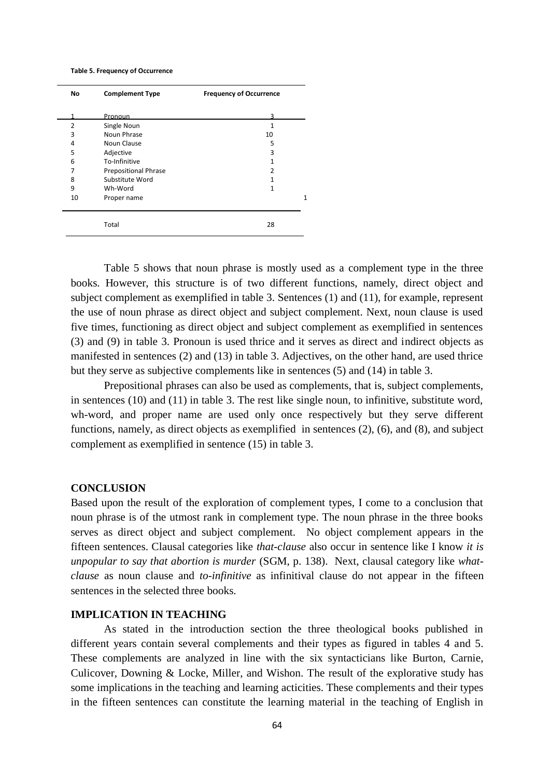#### **Table 5. Frequency of Occurrence**

| No             | <b>Complement Type</b>      | <b>Frequency of Occurrence</b> |  |  |
|----------------|-----------------------------|--------------------------------|--|--|
|                | Pronoun                     |                                |  |  |
| $\overline{2}$ | Single Noun                 | 1                              |  |  |
| 3              | Noun Phrase                 | 10                             |  |  |
| 4              | Noun Clause                 | 5                              |  |  |
| 5              | Adjective                   | 3                              |  |  |
| 6              | To-Infinitive               |                                |  |  |
| 7              | <b>Prepositional Phrase</b> | 2                              |  |  |
| 8              | Substitute Word             |                                |  |  |
| 9              | Wh-Word                     | 1                              |  |  |
| 10             | Proper name                 | 1                              |  |  |
|                |                             |                                |  |  |
|                | Total                       | 28                             |  |  |

Table 5 shows that noun phrase is mostly used as a complement type in the three books. However, this structure is of two different functions, namely, direct object and subject complement as exemplified in table 3. Sentences (1) and (11), for example, represent the use of noun phrase as direct object and subject complement. Next, noun clause is used five times, functioning as direct object and subject complement as exemplified in sentences (3) and (9) in table 3. Pronoun is used thrice and it serves as direct and indirect objects as manifested in sentences (2) and (13) in table 3. Adjectives, on the other hand, are used thrice but they serve as subjective complements like in sentences (5) and (14) in table 3.

Prepositional phrases can also be used as complements, that is, subject complements, in sentences (10) and (11) in table 3. The rest like single noun, to infinitive, substitute word, wh-word, and proper name are used only once respectively but they serve different functions, namely, as direct objects as exemplified in sentences (2), (6), and (8), and subject complement as exemplified in sentence (15) in table 3.

#### **CONCLUSION**

Based upon the result of the exploration of complement types, I come to a conclusion that noun phrase is of the utmost rank in complement type. The noun phrase in the three books serves as direct object and subject complement. No object complement appears in the fifteen sentences. Clausal categories like *that-clause* also occur in sentence like I know *it is unpopular to say that abortion is murder* (SGM, p. 138). Next, clausal category like *whatclause* as noun clause and *to-infinitive* as infinitival clause do not appear in the fifteen sentences in the selected three books.

## **IMPLICATION IN TEACHING**

As stated in the introduction section the three theological books published in different years contain several complements and their types as figured in tables 4 and 5. These complements are analyzed in line with the six syntacticians like Burton, Carnie, Culicover, Downing & Locke, Miller, and Wishon. The result of the explorative study has some implications in the teaching and learning acticities. These complements and their types in the fifteen sentences can constitute the learning material in the teaching of English in